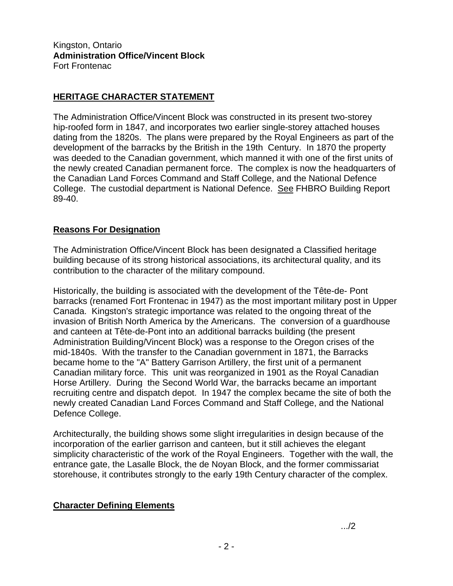Kingston, Ontario **Administration Office/Vincent Block** Fort Frontenac

## **HERITAGE CHARACTER STATEMENT**

The Administration Office/Vincent Block was constructed in its present two-storey hip-roofed form in 1847, and incorporates two earlier single-storey attached houses dating from the 1820s. The plans were prepared by the Royal Engineers as part of the development of the barracks by the British in the 19th Century. In 1870 the property was deeded to the Canadian government, which manned it with one of the first units of the newly created Canadian permanent force. The complex is now the headquarters of the Canadian Land Forces Command and Staff College, and the National Defence College. The custodial department is National Defence. See FHBRO Building Report 89-40.

## **Reasons For Designation**

The Administration Office/Vincent Block has been designated a Classified heritage building because of its strong historical associations, its architectural quality, and its contribution to the character of the military compound.

Historically, the building is associated with the development of the Tête-de- Pont barracks (renamed Fort Frontenac in 1947) as the most important military post in Upper Canada. Kingston's strategic importance was related to the ongoing threat of the invasion of British North America by the Americans. The conversion of a guardhouse and canteen at Tête-de-Pont into an additional barracks building (the present Administration Building/Vincent Block) was a response to the Oregon crises of the mid-1840s. With the transfer to the Canadian government in 1871, the Barracks became home to the "A" Battery Garrison Artillery, the first unit of a permanent Canadian military force. This unit was reorganized in 1901 as the Royal Canadian Horse Artillery. During the Second World War, the barracks became an important recruiting centre and dispatch depot. In 1947 the complex became the site of both the newly created Canadian Land Forces Command and Staff College, and the National Defence College.

Architecturally, the building shows some slight irregularities in design because of the incorporation of the earlier garrison and canteen, but it still achieves the elegant simplicity characteristic of the work of the Royal Engineers. Together with the wall, the entrance gate, the Lasalle Block, the de Noyan Block, and the former commissariat storehouse, it contributes strongly to the early 19th Century character of the complex.

## **Character Defining Elements**